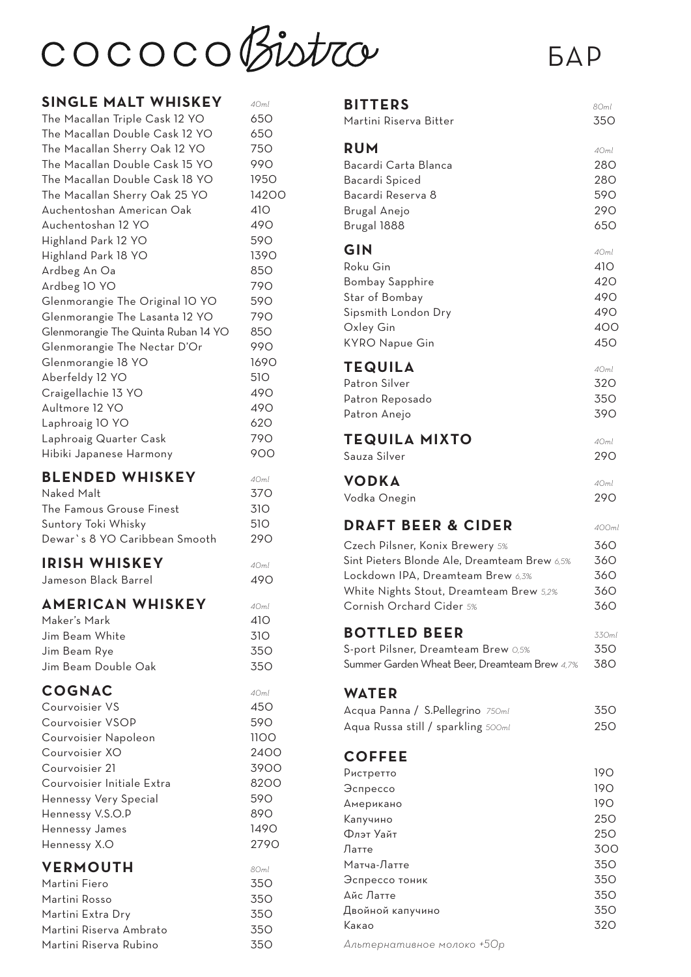# cococoBistra

# БАР БАР

| SINGLE MALT WHISKEY                 | 40ml               |
|-------------------------------------|--------------------|
| The Macallan Triple Cask 12 YO      | 650                |
| The Macallan Double Cask 12 YO      | 650                |
| The Macallan Sherry Oak 12 YO       | 750                |
| The Macallan Double Cask 15 YO      | 990                |
| The Macallan Double Cask 18 YO      | <b>1950</b>        |
| The Macallan Sherry Oak 25 YO       | 14200              |
| Auchentoshan American Oak           | 410                |
| Auchentoshan 12 YO                  | 490                |
| Highland Park 12 YO                 | 590                |
| Highland Park 18 YO                 | <b>1390</b>        |
| Ardbeg An Oa                        | 850                |
| Ardbeg 10 YO                        | 790                |
| Glenmorangie The Original 10 YO     | <b>590</b>         |
| Glenmorangie The Lasanta 12 YO      | 790                |
| Glenmorangie The Quinta Ruban 14 YO | 850                |
| Glenmorangie The Nectar D'Or        | 990                |
| Glenmorangie 18 YO                  | 1690               |
| Aberfeldy 12 YO                     | 510                |
| Craigellachie 13 YO                 | 490                |
| Aultmore 12 YO                      | 490                |
| Laphroaig 10 YO                     | 620                |
| Laphroaig Quarter Cask              | 790<br>900         |
| Hibiki Japanese Harmony             |                    |
| <b>BLENDED WHISKEY</b>              | 40ml               |
| Naked Malt                          | 37O                |
| The Famous Grouse Finest            | 310                |
| Suntory Toki Whisky                 | 510                |
| Dewar's 8 YO Caribbean Smooth       | 290                |
| <b>IRISH WHISKEY</b>                | 40ml               |
| Jameson Black Barrel                | 490                |
| <b>AMERICAN WHISKEY</b>             | 40ml               |
| Maker's Mark                        | 410                |
| Jim Beam White                      | 310                |
| Jim Beam Rye                        | 350                |
| Jim Beam Double Oak                 | 350                |
|                                     |                    |
| <b>COGNAC</b>                       | 40ml               |
| Courvoisier VS                      | 450                |
| Courvoisier VSOP                    | <b>590</b>         |
| Courvoisier Napoleon                | 1100               |
| Courvoisier XO<br>Courvoisier 21    | 2400               |
| Courvoisier Initiale Extra          | 3900<br>8200       |
| Hennessy Very Special               | 59O                |
| Hennessy V.S.O.P                    | 890                |
| Hennessy James                      | <b>1490</b>        |
| Hennessy X.O                        | 2790               |
| <b>VERMOUTH</b>                     |                    |
| Martini Fiero                       | 80ml<br><b>350</b> |
| Martini Rosso                       | 350                |
| Martini Extra Dry                   | 350                |
| Martini Riserva Ambrato             | 350                |
| Martini Riserva Rubino              | 350                |

| <b>BITTERS</b><br>Martini Riserva Bitter      | 80ml<br><b>350</b> |
|-----------------------------------------------|--------------------|
| <b>RUM</b>                                    | 40ml               |
| Bacardi Carta Blanca                          | <b>280</b>         |
| Bacardi Spiced                                | 280                |
| Bacardi Reserva 8                             | 590                |
| Brugal Anejo<br>Brugal 1888                   | 290<br>650         |
| <b>GIN</b>                                    | 40ml               |
| Roku Gin                                      | 410                |
| <b>Bombay Sapphire</b>                        | 420                |
| Star of Bombay                                | 490                |
| Sipsmith London Dry                           | 490                |
| Oxley Gin<br><b>KYRO Napue Gin</b>            | 400<br>450         |
| <b>TEQUILA</b>                                | 40ml               |
| Patron Silver                                 | 320                |
| Patron Reposado                               | <b>350</b>         |
| Patron Anejo                                  | 390                |
| <b>TEQUILA MIXTO</b>                          | 40ml               |
| Sauza Silver                                  | 290                |
| <b>VODKA</b>                                  | 40ml               |
| Vodka Onegin                                  | 290                |
|                                               |                    |
| <b>DRAFT BEER &amp; CIDER</b>                 | 400ml              |
| Czech Pilsner, Konix Brewery 5%               | 360                |
| Sint Pieters Blonde Ale, Dreamteam Brew 6,5%  | 360                |
| Lockdown IPA, Dreamteam Brew 6,3%             | 360                |
| White Nights Stout, Dreamteam Brew 5,2%       | 360                |
| Cornish Orchard Cider 5%                      | 360                |
| <b>BOTTLED BEER</b>                           | 330ml              |
| S-port Pilsner, Dreamteam Brew 0,5%           | 35O                |
| Summer Garden Wheat Beer, Dreamteam Brew 4,7% | 380                |
| WATER                                         |                    |
| Acqua Panna / S.Pellegrino 750ml              | 35O                |
| Aqua Russa still / sparkling 500ml            | 25O                |
| <b>COFFEE</b>                                 |                    |
| Ристретто                                     | 190                |
| Эспрессо                                      | <b>190</b>         |
| Американо                                     | <b>190</b>         |
| Капучино                                      | 250                |
| Флэт Уайт                                     | 250                |
| Латте                                         | 300                |
| Матча-Латте                                   | 350                |
| Эспрессо тоник                                | 350                |
| Айс Латте<br>Двойной капучино                 | 350<br><b>350</b>  |

*Альтернативное молоко +50р Альтернативное молоко +50р*